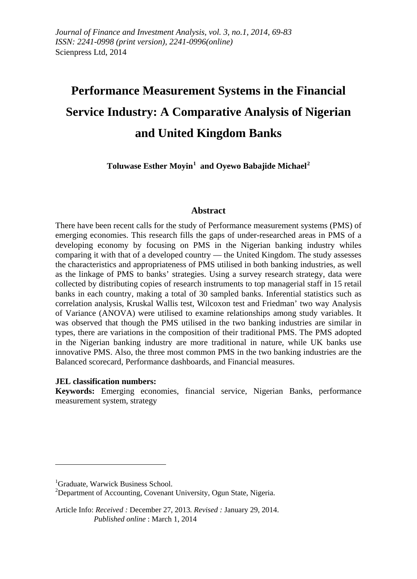# **Performance Measurement Systems in the Financial Service Industry: A Comparative Analysis of Nigerian and United Kingdom Banks**

**Toluwase Esther Moyin[1](#page-0-0) and Oyewo Babajide Michael[2](#page-0-1)**

#### **Abstract**

There have been recent calls for the study of Performance measurement systems (PMS) of emerging economies. This research fills the gaps of under-researched areas in PMS of a developing economy by focusing on PMS in the Nigerian banking industry whiles comparing it with that of a developed country — the United Kingdom. The study assesses the characteristics and appropriateness of PMS utilised in both banking industries, as well as the linkage of PMS to banks' strategies. Using a survey research strategy, data were collected by distributing copies of research instruments to top managerial staff in 15 retail banks in each country, making a total of 30 sampled banks. Inferential statistics such as correlation analysis, Kruskal Wallis test, Wilcoxon test and Friedman' two way Analysis of Variance (ANOVA) were utilised to examine relationships among study variables. It was observed that though the PMS utilised in the two banking industries are similar in types, there are variations in the composition of their traditional PMS. The PMS adopted in the Nigerian banking industry are more traditional in nature, while UK banks use innovative PMS. Also, the three most common PMS in the two banking industries are the Balanced scorecard, Performance dashboards, and Financial measures.

#### **JEL classification numbers:**

**Keywords:** Emerging economies, financial service, Nigerian Banks, performance measurement system, strategy

 $\overline{a}$ 

<span id="page-0-0"></span><sup>&</sup>lt;sup>1</sup>Graduate, Warwick Business School.<br><sup>2</sup>Department of Assounting, Covenant

<span id="page-0-1"></span> $^{2}$ Department of Accounting, Covenant University, Ogun State, Nigeria.

Article Info: *Received :* December 27, 2013*. Revised :* January 29, 2014.  *Published online* : March 1, 2014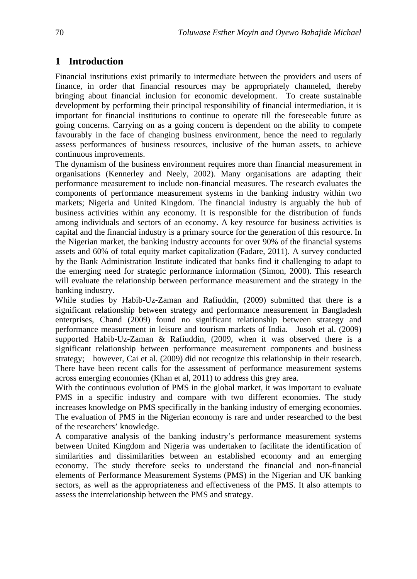# **1 Introduction**

Financial institutions exist primarily to intermediate between the providers and users of finance, in order that financial resources may be appropriately channeled, thereby bringing about financial inclusion for economic development. To create sustainable development by performing their principal responsibility of financial intermediation, it is important for financial institutions to continue to operate till the foreseeable future as going concerns. Carrying on as a going concern is dependent on the ability to compete favourably in the face of changing business environment, hence the need to regularly assess performances of business resources, inclusive of the human assets, to achieve continuous improvements.

The dynamism of the business environment requires more than financial measurement in organisations (Kennerley and Neely, 2002). Many organisations are adapting their performance measurement to include non-financial measures. The research evaluates the components of performance measurement systems in the banking industry within two markets; Nigeria and United Kingdom. The financial industry is arguably the hub of business activities within any economy. It is responsible for the distribution of funds among individuals and sectors of an economy. A key resource for business activities is capital and the financial industry is a primary source for the generation of this resource. In the Nigerian market, the banking industry accounts for over 90% of the financial systems assets and 60% of total equity market capitalization (Fadare, 2011). A survey conducted by the Bank Administration Institute indicated that banks find it challenging to adapt to the emerging need for strategic performance information (Simon, 2000). This research will evaluate the relationship between performance measurement and the strategy in the banking industry.

While studies by Habib-Uz-Zaman and Rafiuddin, (2009) submitted that there is a significant relationship between strategy and performance measurement in Bangladesh enterprises, Chand (2009) found no significant relationship between strategy and performance measurement in leisure and tourism markets of India. Jusoh et al. (2009) supported Habib-Uz-Zaman & Rafiuddin, (2009, when it was observed there is a significant relationship between performance measurement components and business strategy; however, Cai et al. (2009) did not recognize this relationship in their research. There have been recent calls for the assessment of performance measurement systems across emerging economies (Khan et al, 2011) to address this grey area.

With the continuous evolution of PMS in the global market, it was important to evaluate PMS in a specific industry and compare with two different economies. The study increases knowledge on PMS specifically in the banking industry of emerging economies. The evaluation of PMS in the Nigerian economy is rare and under researched to the best of the researchers' knowledge.

A comparative analysis of the banking industry's performance measurement systems between United Kingdom and Nigeria was undertaken to facilitate the identification of similarities and dissimilarities between an established economy and an emerging economy. The study therefore seeks to understand the financial and non-financial elements of Performance Measurement Systems (PMS) in the Nigerian and UK banking sectors, as well as the appropriateness and effectiveness of the PMS. It also attempts to assess the interrelationship between the PMS and strategy.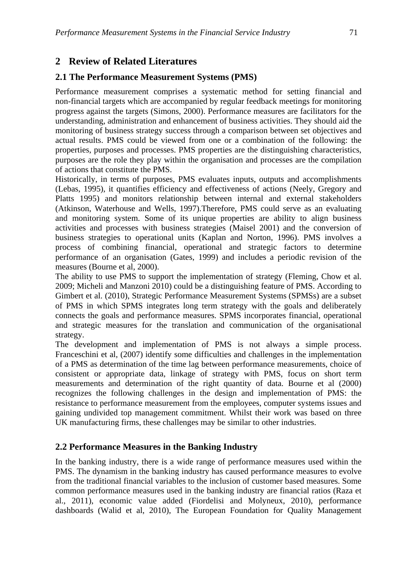# **2 Review of Related Literatures**

# **2.1 The Performance Measurement Systems (PMS)**

Performance measurement comprises a systematic method for setting financial and non-financial targets which are accompanied by regular feedback meetings for monitoring progress against the targets (Simons, 2000). Performance measures are facilitators for the understanding, administration and enhancement of business activities. They should aid the monitoring of business strategy success through a comparison between set objectives and actual results. PMS could be viewed from one or a combination of the following: the properties, purposes and processes. PMS properties are the distinguishing characteristics, purposes are the role they play within the organisation and processes are the compilation of actions that constitute the PMS.

Historically, in terms of purposes, PMS evaluates inputs, outputs and accomplishments (Lebas, 1995), it quantifies efficiency and effectiveness of actions (Neely, Gregory and Platts 1995) and monitors relationship between internal and external stakeholders (Atkinson, Waterhouse and Wells, 1997).Therefore, PMS could serve as an evaluating and monitoring system. Some of its unique properties are ability to align business activities and processes with business strategies (Maisel 2001) and the conversion of business strategies to operational units (Kaplan and Norton, 1996). PMS involves a process of combining financial, operational and strategic factors to determine performance of an organisation (Gates, 1999) and includes a periodic revision of the measures (Bourne et al, 2000).

The ability to use PMS to support the implementation of strategy (Fleming, Chow et al. 2009; Micheli and Manzoni 2010) could be a distinguishing feature of PMS. According to Gimbert et al. (2010), Strategic Performance Measurement Systems (SPMSs) are a subset of PMS in which SPMS integrates long term strategy with the goals and deliberately connects the goals and performance measures. SPMS incorporates financial, operational and strategic measures for the translation and communication of the organisational strategy.

The development and implementation of PMS is not always a simple process. Franceschini et al, (2007) identify some difficulties and challenges in the implementation of a PMS as determination of the time lag between performance measurements, choice of consistent or appropriate data, linkage of strategy with PMS, focus on short term measurements and determination of the right quantity of data. Bourne et al (2000) recognizes the following challenges in the design and implementation of PMS: the resistance to performance measurement from the employees, computer systems issues and gaining undivided top management commitment. Whilst their work was based on three UK manufacturing firms, these challenges may be similar to other industries.

# **2.2 Performance Measures in the Banking Industry**

In the banking industry, there is a wide range of performance measures used within the PMS. The dynamism in the banking industry has caused performance measures to evolve from the traditional financial variables to the inclusion of customer based measures. Some common performance measures used in the banking industry are financial ratios (Raza et al., 2011), economic value added (Fiordelisi and Molyneux, 2010), performance dashboards (Walid et al, 2010), The European Foundation for Quality Management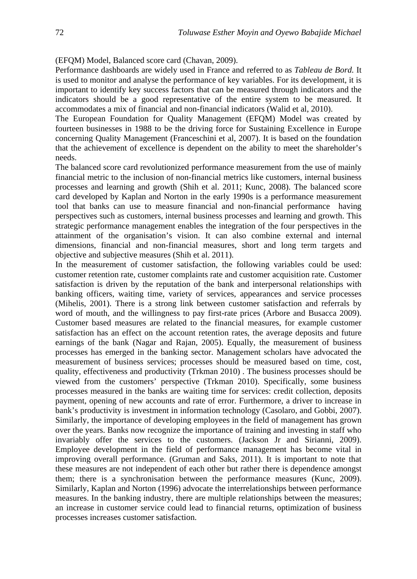(EFQM) Model, Balanced score card (Chavan, 2009).

Performance dashboards are widely used in France and referred to as *Tableau de Bord.* It is used to monitor and analyse the performance of key variables. For its development, it is important to identify key success factors that can be measured through indicators and the indicators should be a good representative of the entire system to be measured. It accommodates a mix of financial and non-financial indicators (Walid et al, 2010).

The European Foundation for Quality Management (EFQM) Model was created by fourteen businesses in 1988 to be the driving force for Sustaining Excellence in Europe concerning Quality Management (Franceschini et al, 2007). It is based on the foundation that the achievement of excellence is dependent on the ability to meet the shareholder's needs.

The balanced score card revolutionized performance measurement from the use of mainly financial metric to the inclusion of non-financial metrics like customers, internal business processes and learning and growth (Shih et al. 2011; Kunc, 2008). The balanced score card developed by Kaplan and Norton in the early 1990s is a performance measurement tool that banks can use to measure financial and non-financial performance having perspectives such as customers, internal business processes and learning and growth. This strategic performance management enables the integration of the four perspectives in the attainment of the organisation's vision. It can also combine external and internal dimensions, financial and non-financial measures, short and long term targets and objective and subjective measures (Shih et al. 2011).

In the measurement of customer satisfaction, the following variables could be used: customer retention rate, customer complaints rate and customer acquisition rate. Customer satisfaction is driven by the reputation of the bank and interpersonal relationships with banking officers, waiting time, variety of services, appearances and service processes (Mihelis, 2001). There is a strong link between customer satisfaction and referrals by word of mouth, and the willingness to pay first-rate prices (Arbore and Busacca 2009). Customer based measures are related to the financial measures, for example customer satisfaction has an effect on the account retention rates, the average deposits and future earnings of the bank (Nagar and Rajan, 2005). Equally, the measurement of business processes has emerged in the banking sector. Management scholars have advocated the measurement of business services; processes should be measured based on time, cost, quality, effectiveness and productivity (Trkman 2010) . The business processes should be viewed from the customers' perspective (Trkman 2010). Specifically, some business processes measured in the banks are waiting time for services: credit collection, deposits payment, opening of new accounts and rate of error. Furthermore, a driver to increase in bank's productivity is investment in information technology (Casolaro, and Gobbi, 2007). Similarly, the importance of developing employees in the field of management has grown over the years. Banks now recognize the importance of training and investing in staff who invariably offer the services to the customers. (Jackson Jr and Sirianni, 2009). Employee development in the field of performance management has become vital in improving overall performance. (Gruman and Saks, 2011). It is important to note that these measures are not independent of each other but rather there is dependence amongst them; there is a synchronisation between the performance measures (Kunc, 2009). Similarly, Kaplan and Norton (1996) advocate the interrelationships between performance measures. In the banking industry, there are multiple relationships between the measures; an increase in customer service could lead to financial returns, optimization of business processes increases customer satisfaction.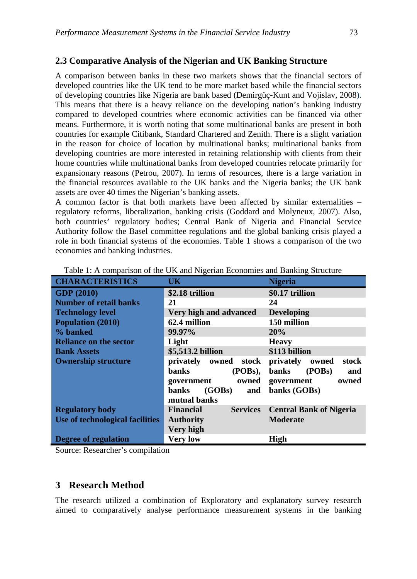#### **2.3 Comparative Analysis of the Nigerian and UK Banking Structure**

A comparison between banks in these two markets shows that the financial sectors of developed countries like the UK tend to be more market based while the financial sectors of developing countries like Nigeria are bank based (Demirgüç-Kunt and Vojislav, 2008). This means that there is a heavy reliance on the developing nation's banking industry compared to developed countries where economic activities can be financed via other means. Furthermore, it is worth noting that some multinational banks are present in both countries for example Citibank, Standard Chartered and Zenith. There is a slight variation in the reason for choice of location by multinational banks; multinational banks from developing countries are more interested in retaining relationship with clients from their home countries while multinational banks from developed countries relocate primarily for expansionary reasons (Petrou, 2007). In terms of resources, there is a large variation in the financial resources available to the UK banks and the Nigeria banks; the UK bank assets are over 40 times the Nigerian's banking assets.

A common factor is that both markets have been affected by similar externalities – regulatory reforms, liberalization, banking crisis (Goddard and Molyneux, 2007). Also, both countries' regulatory bodies; Central Bank of Nigeria and Financial Service Authority follow the Basel committee regulations and the global banking crisis played a role in both financial systems of the economies. Table 1 shows a comparison of the two economies and banking industries.

| <b>CHARACTERISTICS</b>          | UK                                  | <b>Nigeria</b>                 |  |
|---------------------------------|-------------------------------------|--------------------------------|--|
| <b>GDP</b> (2010)               | \$2.18 trillion                     | \$0.17 trillion                |  |
| <b>Number of retail banks</b>   | 21                                  | 24                             |  |
| <b>Technology level</b>         | Very high and advanced              | <b>Developing</b>              |  |
| <b>Population (2010)</b>        | 62.4 million                        | 150 million                    |  |
| % banked                        | 99.97%                              | 20%                            |  |
| <b>Reliance on the sector</b>   | Light                               | <b>Heavy</b>                   |  |
| <b>Bank Assets</b>              | \$5,513.2 billion                   | \$113 billion                  |  |
| <b>Ownership structure</b>      | privately owned<br>stock            | privately<br>stock<br>owned    |  |
|                                 | banks<br>(POBs),                    | (POBs)<br><b>banks</b><br>and  |  |
|                                 | owned<br>government                 | owned<br>government            |  |
|                                 | (GOBs)<br>banks<br>and              | banks (GOBs)                   |  |
|                                 | mutual banks                        |                                |  |
| <b>Regulatory body</b>          | <b>Financial</b><br><b>Services</b> | <b>Central Bank of Nigeria</b> |  |
| Use of technological facilities | <b>Authority</b>                    | <b>Moderate</b>                |  |
|                                 | Very high                           |                                |  |
| <b>Degree of regulation</b>     | <b>Very low</b>                     | <b>High</b>                    |  |

Table 1: A comparison of the UK and Nigerian Economies and Banking Structure

Source: Researcher's compilation

#### **3 Research Method**

The research utilized a combination of Exploratory and explanatory survey research aimed to comparatively analyse performance measurement systems in the banking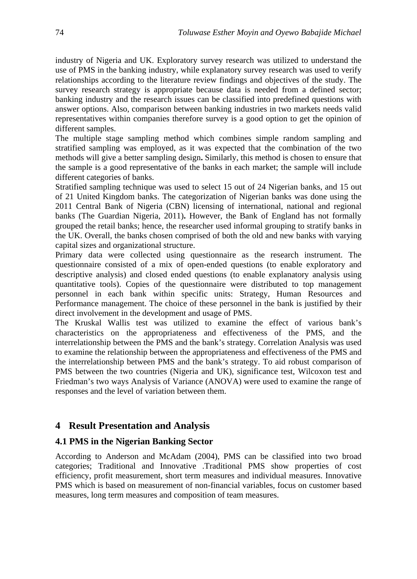industry of Nigeria and UK. Exploratory survey research was utilized to understand the use of PMS in the banking industry, while explanatory survey research was used to verify relationships according to the literature review findings and objectives of the study. The survey research strategy is appropriate because data is needed from a defined sector; banking industry and the research issues can be classified into predefined questions with answer options. Also, comparison between banking industries in two markets needs valid representatives within companies therefore survey is a good option to get the opinion of different samples.

The multiple stage sampling method which combines simple random sampling and stratified sampling was employed, as it was expected that the combination of the two methods will give a better sampling design**.** Similarly, this method is chosen to ensure that the sample is a good representative of the banks in each market; the sample will include different categories of banks.

Stratified sampling technique was used to select 15 out of 24 Nigerian banks, and 15 out of 21 United Kingdom banks. The categorization of Nigerian banks was done using the 2011 Central Bank of Nigeria (CBN) licensing of international, national and regional banks (The Guardian Nigeria, 2011)**.** However, the Bank of England has not formally grouped the retail banks; hence, the researcher used informal grouping to stratify banks in the UK. Overall, the banks chosen comprised of both the old and new banks with varying capital sizes and organizational structure.

Primary data were collected using questionnaire as the research instrument. The questionnaire consisted of a mix of open-ended questions (to enable exploratory and descriptive analysis) and closed ended questions (to enable explanatory analysis using quantitative tools). Copies of the questionnaire were distributed to top management personnel in each bank within specific units: Strategy, Human Resources and Performance management. The choice of these personnel in the bank is justified by their direct involvement in the development and usage of PMS.

The Kruskal Wallis test was utilized to examine the effect of various bank's characteristics on the appropriateness and effectiveness of the PMS, and the interrelationship between the PMS and the bank's strategy. Correlation Analysis was used to examine the relationship between the appropriateness and effectiveness of the PMS and the interrelationship between PMS and the bank's strategy. To aid robust comparison of PMS between the two countries (Nigeria and UK), significance test, Wilcoxon test and Friedman's two ways Analysis of Variance (ANOVA) were used to examine the range of responses and the level of variation between them.

# **4 Result Presentation and Analysis**

# **4.1 PMS in the Nigerian Banking Sector**

According to Anderson and McAdam (2004), PMS can be classified into two broad categories; Traditional and Innovative .Traditional PMS show properties of cost efficiency, profit measurement, short term measures and individual measures. Innovative PMS which is based on measurement of non-financial variables, focus on customer based measures, long term measures and composition of team measures.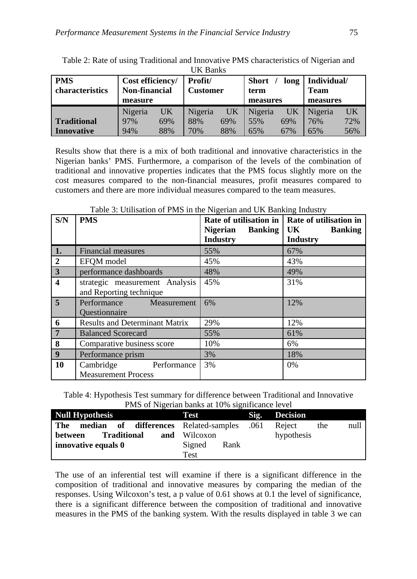| UIX DAIINS                    |                                          |     |                            |     |                              |     |                            |     |
|-------------------------------|------------------------------------------|-----|----------------------------|-----|------------------------------|-----|----------------------------|-----|
| <b>PMS</b><br>characteristics | Cost efficiency/<br><b>Non-financial</b> |     | Profit/<br><b>Customer</b> |     | <b>Short</b><br>long<br>term |     | Individual/<br><b>Team</b> |     |
|                               | measure                                  |     |                            |     | measures                     |     | measures                   |     |
|                               | Nigeria                                  | UK  | Nigeria                    | UK  | Nigeria                      | UK  | Nigeria                    | UK  |
| <b>Traditional</b>            | 97%                                      | 69% | 88%                        | 69% | 55%                          | 69% | 76%                        | 72% |
| <b>Innovative</b>             | 94%                                      | 88% | 70%                        | 88% | 65%                          | 67% | 65%                        | 56% |

Table 2: Rate of using Traditional and Innovative PMS characteristics of Nigerian and  $UV$  Banks

Results show that there is a mix of both traditional and innovative characteristics in the Nigerian banks' PMS. Furthermore, a comparison of the levels of the combination of traditional and innovative properties indicates that the PMS focus slightly more on the cost measures compared to the non-financial measures, profit measures compared to customers and there are more individual measures compared to the team measures.

| S/N                     | <b>PMS</b>                            | Rate of utilisation in            | Rate of utilisation in |
|-------------------------|---------------------------------------|-----------------------------------|------------------------|
|                         |                                       | <b>Banking</b><br><b>Nigerian</b> | UK<br><b>Banking</b>   |
|                         |                                       | <b>Industry</b>                   | <b>Industry</b>        |
| 1.                      | <b>Financial measures</b>             | 55%                               | 67%                    |
| $\overline{2}$          | EFOM model                            | 45%                               | 43%                    |
| $\overline{3}$          | performance dashboards                | 48%                               | 49%                    |
| $\overline{\mathbf{4}}$ | strategic measurement Analysis        | 45%                               | 31%                    |
|                         | and Reporting technique               |                                   |                        |
| $\overline{5}$          | Performance<br>Measurement            | 6%                                | 12%                    |
|                         | Questionnaire                         |                                   |                        |
| 6                       | <b>Results and Determinant Matrix</b> | 29%                               | 12%                    |
| $7\phantom{.0}$         | <b>Balanced Scorecard</b>             | 55%                               | 61%                    |
| 8                       | Comparative business score            | 10%                               | 6%                     |
| 9                       | Performance prism                     | 3%                                | 18%                    |
| 10                      | Performance<br>Cambridge              | 3%                                | 0%                     |
|                         | <b>Measurement Process</b>            |                                   |                        |

Table 3: Utilisation of PMS in the Nigerian and UK Banking Industry

Table 4: Hypothesis Test summary for difference between Traditional and Innovative PMS of Nigerian banks at 10% significance level

| <b>Null Hypothesis</b>                            | <b>Test</b>     | Sig. Decision         |
|---------------------------------------------------|-----------------|-----------------------|
| median of differences Related-samples .061<br>The |                 | null<br>Reject<br>the |
| <b>Traditional</b><br>and<br>between              | <b>Wilcoxon</b> | hypothesis            |
| innovative equals 0                               | Signed<br>Rank  |                       |
|                                                   | <b>Test</b>     |                       |

The use of an inferential test will examine if there is a significant difference in the composition of traditional and innovative measures by comparing the median of the responses. Using Wilcoxon's test, a p value of 0.61 shows at 0.1 the level of significance, there is a significant difference between the composition of traditional and innovative measures in the PMS of the banking system. With the results displayed in table 3 we can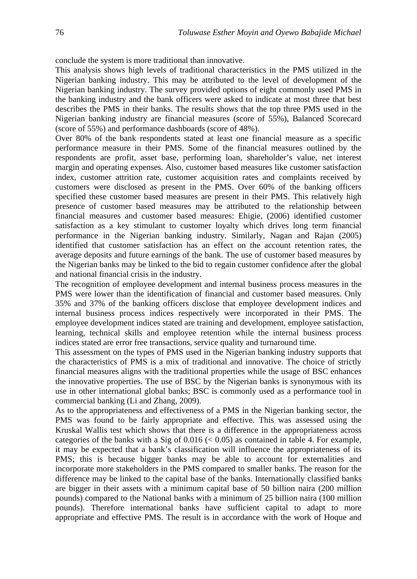conclude the system is more traditional than innovative.

This analysis shows high levels of traditional characteristics in the PMS utilized in the Nigerian banking industry. This may be attributed to the level of development of the Nigerian banking industry. The survey provided options of eight commonly used PMS in the banking industry and the bank officers were asked to indicate at most three that best describes the PMS in their banks. The results shows that the top three PMS used in the Nigerian banking industry are financial measures (score of 55%), Balanced Scorecard (score of 55%) and performance dashboards (score of 48%).

Over 80% of the bank respondents stated at least one financial measure as a specific performance measure in their PMS. Some of the financial measures outlined by the respondents are profit, asset base, performing loan, shareholder's value, net interest margin and operating expenses. Also, customer based measures like customer satisfaction index, customer attrition rate, customer acquisition rates and complaints received by customers were disclosed as present in the PMS. Over 60% of the banking officers specified these customer based measures are present in their PMS. This relatively high presence of customer based measures may be attributed to the relationship between financial measures and customer based measures: Ehigie, (2006) identified customer satisfaction as a key stimulant to customer loyalty which drives long term financial performance in the Nigerian banking industry. Similarly, Nagan and Rajan (2005) identified that customer satisfaction has an effect on the account retention rates, the average deposits and future earnings of the bank. The use of customer based measures by the Nigerian banks may be linked to the bid to regain customer confidence after the global and national financial crisis in the industry.

The recognition of employee development and internal business process measures in the PMS were lower than the identification of financial and customer based measures. Only 35% and 37% of the banking officers disclose that employee development indices and internal business process indices respectively were incorporated in their PMS. The employee development indices stated are training and development, employee satisfaction, learning, technical skills and employee retention while the internal business process indices stated are error free transactions, service quality and turnaround time.

This assessment on the types of PMS used in the Nigerian banking industry supports that the characteristics of PMS is a mix of traditional and innovative. The choice of strictly financial measures aligns with the traditional properties while the usage of BSC enhances the innovative properties. The use of BSC by the Nigerian banks is synonymous with its use in other international global banks; BSC is commonly used as a performance tool in commercial banking (Li and Zhang, 2009).

As to the appropriateness and effectiveness of a PMS in the Nigerian banking sector, the PMS was found to be fairly appropriate and effective. This was assessed using the Kruskal Wallis test which shows that there is a difference in the appropriateness across categories of the banks with a Sig of  $0.016 \leq 0.05$ ) as contained in table 4. For example, it may be expected that a bank's classification will influence the appropriateness of its PMS; this is because bigger banks may be able to account for externalities and incorporate more stakeholders in the PMS compared to smaller banks. The reason for the difference may be linked to the capital base of the banks. Internationally classified banks are bigger in their assets with a minimum capital base of 50 billion naira (200 million pounds) compared to the National banks with a minimum of 25 billion naira (100 million pounds). Therefore international banks have sufficient capital to adapt to more appropriate and effective PMS. The result is in accordance with the work of Hoque and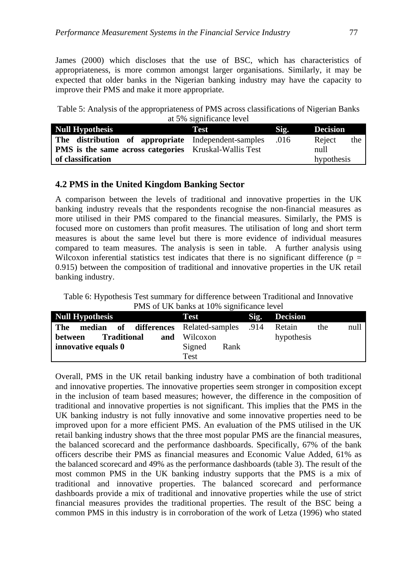James (2000) which discloses that the use of BSC, which has characteristics of appropriateness, is more common amongst larger organisations. Similarly, it may be expected that older banks in the Nigerian banking industry may have the capacity to improve their PMS and make it more appropriate.

Table 5: Analysis of the appropriateness of PMS across classifications of Nigerian Banks at 5% significance level

| <b>Null Hypothesis</b>                                       | Test | Sig. | <b>Decision</b> |
|--------------------------------------------------------------|------|------|-----------------|
| The distribution of appropriate Independent-samples          |      | .016 | Reject<br>the   |
| <b>PMS</b> is the same across categories Kruskal-Wallis Test |      |      | null            |
| of classification                                            |      |      | hypothesis      |

# **4.2 PMS in the United Kingdom Banking Sector**

A comparison between the levels of traditional and innovative properties in the UK banking industry reveals that the respondents recognise the non-financial measures as more utilised in their PMS compared to the financial measures. Similarly, the PMS is focused more on customers than profit measures. The utilisation of long and short term measures is about the same level but there is more evidence of individual measures compared to team measures. The analysis is seen in table. A further analysis using Wilcoxon inferential statistics test indicates that there is no significant difference ( $p =$ 0.915) between the composition of traditional and innovative properties in the UK retail banking industry.

Table 6: Hypothesis Test summary for difference between Traditional and Innovative PMS of UK banks at 10% significance level

| <b>Null Hypothesis</b>                       | Test                |      | Sig. Decision         |  |
|----------------------------------------------|---------------------|------|-----------------------|--|
| median of differences Related-samples<br>The |                     | .914 | null<br>Retain<br>the |  |
| <b>Traditional</b><br>between                | <b>and</b> Wilcoxon |      | hypothesis            |  |
| innovative equals 0                          | Signed<br>Rank      |      |                       |  |
|                                              | Test                |      |                       |  |

Overall, PMS in the UK retail banking industry have a combination of both traditional and innovative properties. The innovative properties seem stronger in composition except in the inclusion of team based measures; however, the difference in the composition of traditional and innovative properties is not significant. This implies that the PMS in the UK banking industry is not fully innovative and some innovative properties need to be improved upon for a more efficient PMS. An evaluation of the PMS utilised in the UK retail banking industry shows that the three most popular PMS are the financial measures, the balanced scorecard and the performance dashboards. Specifically, 67% of the bank officers describe their PMS as financial measures and Economic Value Added, 61% as the balanced scorecard and 49% as the performance dashboards (table 3). The result of the most common PMS in the UK banking industry supports that the PMS is a mix of traditional and innovative properties. The balanced scorecard and performance dashboards provide a mix of traditional and innovative properties while the use of strict financial measures provides the traditional properties. The result of the BSC being a common PMS in this industry is in corroboration of the work of Letza (1996) who stated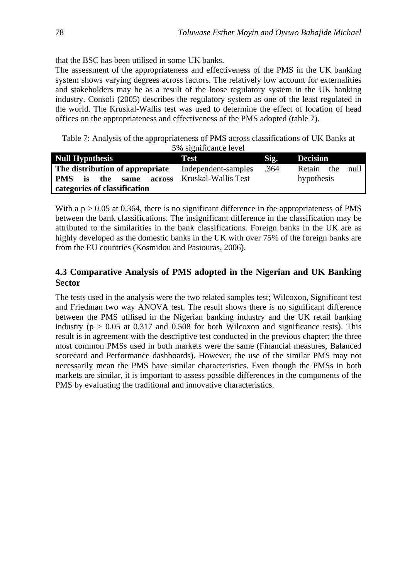that the BSC has been utilised in some UK banks.

The assessment of the appropriateness and effectiveness of the PMS in the UK banking system shows varying degrees across factors. The relatively low account for externalities and stakeholders may be as a result of the loose regulatory system in the UK banking industry. Consoli (2005) describes the regulatory system as one of the least regulated in the world. The Kruskal-Wallis test was used to determine the effect of location of head offices on the appropriateness and effectiveness of the PMS adopted (table 7).

Table 7: Analysis of the appropriateness of PMS across classifications of UK Banks at 5% significance level

| <b>Null Hypothesis</b>                                    | <b>Test</b>                                | Sig. | <b>Decision</b>                  |  |
|-----------------------------------------------------------|--------------------------------------------|------|----------------------------------|--|
| The distribution of appropriate<br>PMS is the same across | Independent-samples<br>Kruskal-Wallis Test | .364 | Retain the<br>null<br>hypothesis |  |
| categories of classification                              |                                            |      |                                  |  |

With a  $p > 0.05$  at 0.364, there is no significant difference in the appropriateness of PMS between the bank classifications. The insignificant difference in the classification may be attributed to the similarities in the bank classifications. Foreign banks in the UK are as highly developed as the domestic banks in the UK with over 75% of the foreign banks are from the EU countries (Kosmidou and Pasiouras, 2006).

# **4.3 Comparative Analysis of PMS adopted in the Nigerian and UK Banking Sector**

The tests used in the analysis were the two related samples test; Wilcoxon, Significant test and Friedman two way ANOVA test. The result shows there is no significant difference between the PMS utilised in the Nigerian banking industry and the UK retail banking industry ( $p > 0.05$  at 0.317 and 0.508 for both Wilcoxon and significance tests). This result is in agreement with the descriptive test conducted in the previous chapter; the three most common PMSs used in both markets were the same (Financial measures, Balanced scorecard and Performance dashboards). However, the use of the similar PMS may not necessarily mean the PMS have similar characteristics. Even though the PMSs in both markets are similar, it is important to assess possible differences in the components of the PMS by evaluating the traditional and innovative characteristics.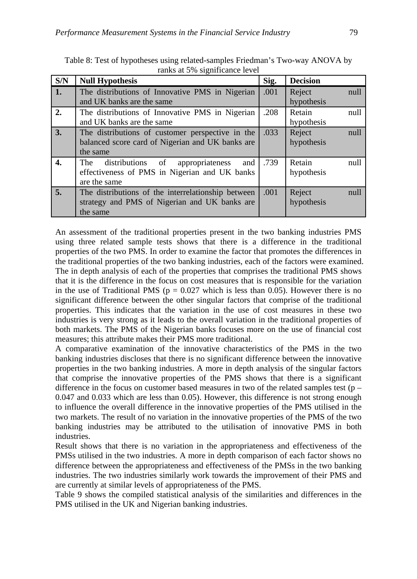| S/N | <b>Null Hypothesis</b>                                                                                             | Sig. | <b>Decision</b>      |      |
|-----|--------------------------------------------------------------------------------------------------------------------|------|----------------------|------|
| 1.  | The distributions of Innovative PMS in Nigerian<br>and UK banks are the same                                       | .001 | Reject<br>hypothesis | null |
| 2.  | The distributions of Innovative PMS in Nigerian<br>and UK banks are the same                                       | .208 | Retain<br>hypothesis | null |
| 3.  | The distributions of customer perspective in the<br>balanced score card of Nigerian and UK banks are<br>the same   | .033 | Reject<br>hypothesis | null |
| 4.  | distributions of<br>The<br>and<br>appropriateness<br>effectiveness of PMS in Nigerian and UK banks<br>are the same | .739 | Retain<br>hypothesis | null |
| 5.  | The distributions of the interrelationship between<br>strategy and PMS of Nigerian and UK banks are<br>the same    | .001 | Reject<br>hypothesis | null |

Table 8: Test of hypotheses using related-samples Friedman's Two-way ANOVA by ranks at 5% significance level

An assessment of the traditional properties present in the two banking industries PMS using three related sample tests shows that there is a difference in the traditional properties of the two PMS. In order to examine the factor that promotes the differences in the traditional properties of the two banking industries, each of the factors were examined. The in depth analysis of each of the properties that comprises the traditional PMS shows that it is the difference in the focus on cost measures that is responsible for the variation in the use of Traditional PMS ( $p = 0.027$  which is less than 0.05). However there is no significant difference between the other singular factors that comprise of the traditional properties. This indicates that the variation in the use of cost measures in these two industries is very strong as it leads to the overall variation in the traditional properties of both markets. The PMS of the Nigerian banks focuses more on the use of financial cost measures; this attribute makes their PMS more traditional.

A comparative examination of the innovative characteristics of the PMS in the two banking industries discloses that there is no significant difference between the innovative properties in the two banking industries. A more in depth analysis of the singular factors that comprise the innovative properties of the PMS shows that there is a significant difference in the focus on customer based measures in two of the related samples test ( $p -$ 0.047 and 0.033 which are less than 0.05). However, this difference is not strong enough to influence the overall difference in the innovative properties of the PMS utilised in the two markets. The result of no variation in the innovative properties of the PMS of the two banking industries may be attributed to the utilisation of innovative PMS in both industries.

Result shows that there is no variation in the appropriateness and effectiveness of the PMSs utilised in the two industries. A more in depth comparison of each factor shows no difference between the appropriateness and effectiveness of the PMSs in the two banking industries. The two industries similarly work towards the improvement of their PMS and are currently at similar levels of appropriateness of the PMS.

Table 9 shows the compiled statistical analysis of the similarities and differences in the PMS utilised in the UK and Nigerian banking industries.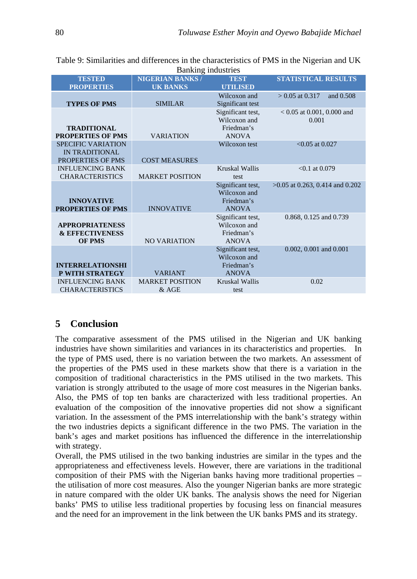Table 9: Similarities and differences in the characteristics of PMS in the Nigerian and UK Banking industries

| <b>TESTED</b><br><b>PROPERTIES</b>                                    | <b>NIGERIAN BANKS/</b><br><b>UK BANKS</b> | <b>TEST</b><br><b>UTILISED</b>                                  | <b>STATISTICAL RESULTS</b>            |
|-----------------------------------------------------------------------|-------------------------------------------|-----------------------------------------------------------------|---------------------------------------|
| <b>TYPES OF PMS</b>                                                   | <b>SIMILAR</b>                            | Wilcoxon and<br>Significant test                                | $> 0.05$ at 0.317<br>and 0.508        |
| <b>TRADITIONAL</b><br><b>PROPERTIES OF PMS</b>                        | <b>VARIATION</b>                          | Significant test,<br>Wilcoxon and<br>Friedman's<br><b>ANOVA</b> | $< 0.05$ at 0.001, 0.000 and<br>0.001 |
| <b>SPECIFIC VARIATION</b><br>IN TRADITIONAL<br>PROPERTIES OF PMS      | <b>COST MEASURES</b>                      | Wilcoxon test                                                   | $< 0.05$ at 0.027                     |
| <b>INFLUENCING BANK</b><br><b>CHARACTERISTICS</b>                     | <b>MARKET POSITION</b>                    | Kruskal Wallis<br>test                                          | $< 0.1$ at 0.079                      |
| <b>INNOVATIVE</b><br><b>PROPERTIES OF PMS</b>                         | <b>INNOVATIVE</b>                         | Significant test,<br>Wilcoxon and<br>Friedman's<br><b>ANOVA</b> | $>0.05$ at 0.263, 0.414 and 0.202     |
| <b>APPROPRIATENESS</b><br><b>&amp; EFFECTIVENESS</b><br><b>OF PMS</b> | <b>NO VARIATION</b>                       | Significant test,<br>Wilcoxon and<br>Friedman's<br><b>ANOVA</b> | 0.868, 0.125 and 0.739                |
| <b>INTERRELATIONSHI</b><br>P WITH STRATEGY                            | <b>VARIANT</b>                            | Significant test,<br>Wilcoxon and<br>Friedman's<br><b>ANOVA</b> | 0.002, 0.001 and 0.001                |
| <b>INFLUENCING BANK</b><br><b>CHARACTERISTICS</b>                     | <b>MARKET POSITION</b><br>$&$ AGE         | Kruskal Wallis<br>test                                          | 0.02                                  |

# **5 Conclusion**

The comparative assessment of the PMS utilised in the Nigerian and UK banking industries have shown similarities and variances in its characteristics and properties. In the type of PMS used, there is no variation between the two markets. An assessment of the properties of the PMS used in these markets show that there is a variation in the composition of traditional characteristics in the PMS utilised in the two markets. This variation is strongly attributed to the usage of more cost measures in the Nigerian banks. Also, the PMS of top ten banks are characterized with less traditional properties. An evaluation of the composition of the innovative properties did not show a significant variation. In the assessment of the PMS interrelationship with the bank's strategy within the two industries depicts a significant difference in the two PMS. The variation in the bank's ages and market positions has influenced the difference in the interrelationship with strategy.

Overall, the PMS utilised in the two banking industries are similar in the types and the appropriateness and effectiveness levels. However, there are variations in the traditional composition of their PMS with the Nigerian banks having more traditional properties – the utilisation of more cost measures. Also the younger Nigerian banks are more strategic in nature compared with the older UK banks. The analysis shows the need for Nigerian banks' PMS to utilise less traditional properties by focusing less on financial measures and the need for an improvement in the link between the UK banks PMS and its strategy.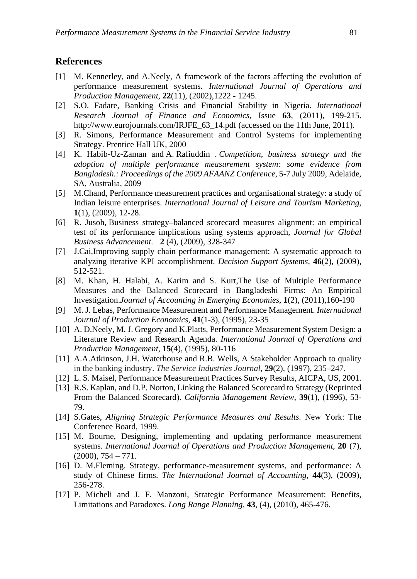#### **References**

- [1] M. Kennerley, and A.Neely, A framework of the factors affecting the evolution of performance measurement systems. *[International Journal of Operations and](http://www.emeraldinsight.com/journals.htm?issn=0144-3577)  [Production Management](http://www.emeraldinsight.com/journals.htm?issn=0144-3577)*, **22**[\(11\)](http://www.emeraldinsight.com/journals.htm?issn=0144-3577&volume=22&issue=11), (2002),1222 - 1245.
- [2] S.O. Fadare, Banking Crisis and Financial Stability in Nigeria. *International Research Journal of Finance and Economics*, Issue **63**, (2011), 199-215. http://www.eurojournals.com/IRJFE\_63\_14.pdf (accessed on the 11th June, 2011).
- [3] R. Simons, Performance Measurement and Control Systems for implementing Strategy. Prentice Hall UK, 2000
- [4] K. Habib-Uz-Zaman and A. Rafiuddin . *Competition, business strategy and the adoption of multiple performance measurement system: some evidence from Bangladesh.: Proceedings of the 2009 AFAANZ Conference*, 5-7 July 2009, Adelaide, SA, Australia, 2009
- [5] M.Chand, Performance measurement practices and organisational strategy: a study of Indian leisure enterprises. *International Journal of Leisure and Tourism Marketing,*  **1**(1), (2009), 12-28.
- [6] R. Jusoh, Business strategy–balanced scorecard measures alignment: an empirical test of its performance implications using systems approach, *Journal for Global Business Advancement.* **2** (4), (2009), 328-347
- [7] J.Cai,Improving supply chain performance management: A systematic approach to analyzing iterative KPI accomplishment. *Decision Support Systems,* **46**(2), (2009), 512-521.
- [8] M. Khan, H. Halabi, A. Karim and S. Kurt,The Use of Multiple Performance Measures and the Balanced Scorecard in Bangladeshi Firms: An Empirical Investigation.*Journal of Accounting in Emerging Economies*, **1**(2), (2011),160-190
- [9] M. J. Lebas, Performance Measurement and Performance Management. *International Journal of Production Economics*, **41**(1-3), (1995), 23-35
- [10] A. D.Neely, M. J. Gregory and K.Platts, Performance Measurement System Design: a Literature Review and Research Agenda. *International Journal of Operations and Production Management*, **15**(4), (1995), 80-116
- [11] A.A.Atkinson, J.H. Waterhouse and R.B. Wells, A Stakeholder Approach to quality in the banking industry. *The Service Industries Journal*, **29**(2), (1997), 235–247.
- [12] L. S. Maisel, Performance Measurement Practices Survey Results, AICPA, US, 2001.
- [13] R.S. Kaplan, and D.P. Norton, Linking the Balanced Scorecard to Strategy (Reprinted From the Balanced Scorecard). *California Management Review*, **39**(1), (1996), 53- 79.
- [14] S.Gates, *Aligning Strategic Performance Measures and Results*. New York: The Conference Board, 1999.
- [15] M. Bourne, Designing, implementing and updating performance measurement systems. *International Journal of Operations and Production Management*, **20** (7),  $(2000), 754 - 771.$
- [16] D. M.Fleming. Strategy, performance-measurement systems, and performance: A study of Chinese firms. *The International Journal of Accounting*, **44**(3), (2009), 256-278.
- [17] P. Micheli and J. F. Manzoni, Strategic Performance Measurement: Benefits, Limitations and Paradoxes. *Long Range Planning,* **43**, (4), (2010), 465-476.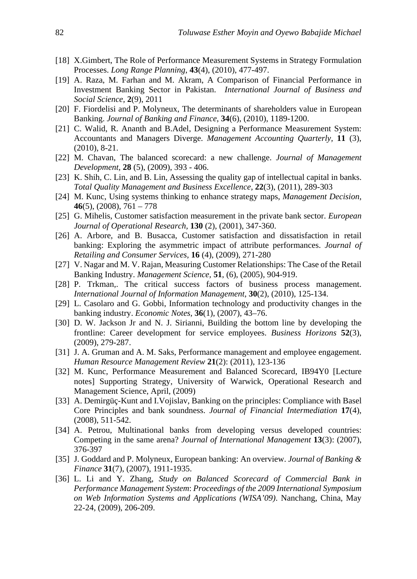- [18] X.Gimbert, The Role of Performance Measurement Systems in Strategy Formulation Processes. *Long Range Planning*, **43**(4), (2010), 477-497.
- [19] A. Raza, M. Farhan and M. Akram, A Comparison of Financial Performance in Investment Banking Sector in Pakistan. *International Journal of Business and Social Science,* **2**(9), 2011
- [20] F. Fiordelisi and P. Molyneux, The determinants of shareholders value in European Banking. *Journal of Banking and Finance*, **34**(6), (2010), 1189-1200.
- [21] C. Walid, R. Ananth and B.Adel, Designing a Performance Measurement System: Accountants and Managers Diverge. *Management Accounting Quarterly,* **11** (3), (2010), 8-21.
- [22] M. Chavan, The balanced scorecard: a new challenge. *Journal of Management Development,* **28** (5), (2009), 393 - 406.
- [23] K. Shih, C. Lin, and B. Lin, Assessing the quality gap of intellectual capital in banks. *Total Quality Management and Business Excellence,* **22**(3), (2011), 289-303
- [24] M. Kunc, Using systems thinking to enhance strategy maps, *Management Decision*, **46**(5), (2008), 761 – 778
- [25] G. Mihelis, Customer satisfaction measurement in the private bank sector. *European Journal of Operational Research,* **130** (2), (2001), 347-360.
- [26] A. Arbore, and B. Busacca, Customer satisfaction and dissatisfaction in retail banking: Exploring the asymmetric impact of attribute performances. *Journal of Retailing and Consumer Services,* **16** (4), (2009), 271-280
- [27] V. Nagar and M. V. Rajan, Measuring Customer Relationships: The Case of the Retail Banking Industry. *Management Science,* **51**, (6), (2005), 904-919.
- [28] P. Trkman,. The critical success factors of business process management. *International Journal of Information Management,* **30**(2), (2010), 125-134.
- [29] L. Casolaro and G. Gobbi, Information technology and productivity changes in the banking industry. *Economic Notes,* **36**(1), (2007), 43–76.
- [30] D. W. Jackson Jr and N. J. Sirianni, Building the bottom line by developing the frontline: Career development for service employees. *Business Horizons* **52**(3), (2009), 279-287.
- [31] J. A. Gruman and A. M. Saks, Performance management and employee engagement. *Human Resource Management Review* **21**(2): (2011), 123-136
- [32] M. Kunc, Performance Measurement and Balanced Scorecard, IB94Y0 [Lecture notes] Supporting Strategy, University of Warwick, Operational Research and Management Science, April, (2009)
- [33] A. Demirgüç-Kunt and I.Vojislav, Banking on the principles: Compliance with Basel Core Principles and bank soundness. *Journal of Financial Intermediation* **17**(4), (2008), 511-542.
- [34] A. Petrou, Multinational banks from developing versus developed countries: Competing in the same arena? *Journal of International Management* **13**(3): (2007), 376-397
- [35] J. Goddard and P. Molyneux, European banking: An overview. *Journal of Banking & Finance* **31**(7), (2007), 1911-1935.
- [36] L. Li and Y. Zhang, *Study on Balanced Scorecard of Commercial Bank in Performance Management System*: *Proceedings of the 2009 International Symposium on Web Information Systems and Applications (WISA'09)*. Nanchang, China, May 22-24, (2009), 206-209.